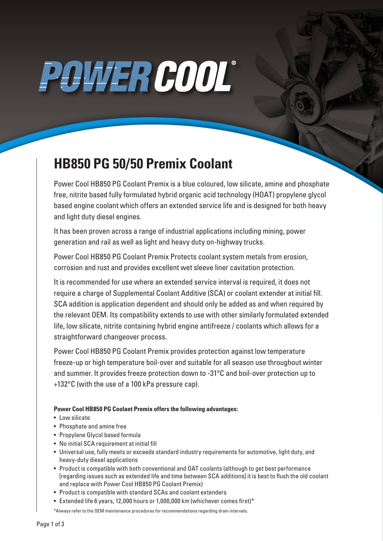# POWER COOL®

### **HB850 PG 50/50 Premix Coolant**

Power Cool HB850 PG Coolant Premix is a blue coloured, low silicate, amine and phosphate free, nitrite based fully formulated hybrid organic acid technology (HOAT) propylene glycol based engine coolant which offers an extended service life and is designed for both heavy and light duty diesel engines.

It has been proven across a range of industrial applications including mining, power generation and rail as well as light and heavy duty on-highway trucks.

Power Cool HB850 PG Coolant Premix Protects coolant system metals from erosion, corrosion and rust and provides excellent wet sleeve liner cavitation protection.

It is recommended for use where an extended service interval is required, it does not require a charge of Supplemental Coolant Additive (SCA) or coolant extender at initial fill. SCA addition is application dependent and should only be added as and when required by the relevant OEM. Its compatibility extends to use with other similarly formulated extended life, low silicate, nitrite containing hybrid engine antifreeze / coolants which allows for a straightforward changeover process.

Power Cool HB850 PG Coolant Premix provides protection against low temperature freeze-up or high temperature boil-over and suitable for all season use throughout winter and summer. It provides freeze protection down to -31°C and boil-over protection up to +132°C (with the use of a 100 kPa pressure cap).

#### **Power Cool HB850 PG Coolant Premix offers the following advantages:**

- Low silicate
- Phosphate and amine free
- Propylene Glycol based formula
- No initial SCA requirement at initial fill
- Universal use, fully meets or exceeds standard industry requirements for automotive, light duty, and heavy-duty diesel applications
- Product is compatible with both conventional and OAT coolants (although to get best performance [regarding issues such as extended life and time between SCA additions] it is best to flush the old coolant and replace with Power Cool HB850 PG Coolant Premix)
- Product is compatible with standard SCAs and coolant extenders
- Extended life 6 years, 12,000 hours or 1,000,000 km (whichever comes first)\*

\*Always refer to the OEM maintenance procedures for recommendations regarding drain intervals.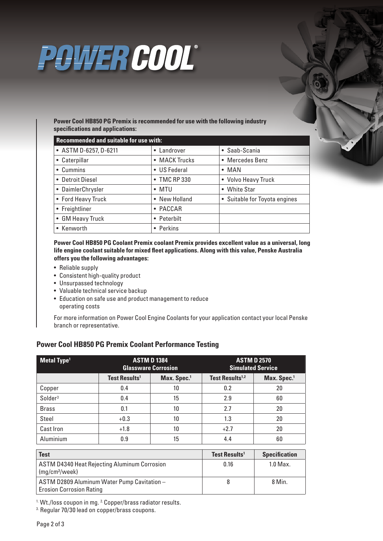

**Power Cool HB850 PG Premix is recommended for use with the following industry specifications and applications:**

| <b>Recommended and suitable for use with:</b> |               |                               |  |  |
|-----------------------------------------------|---------------|-------------------------------|--|--|
| • ASTM D-6257, D-6211                         | • Landrover   | • Saab-Scania                 |  |  |
| • Caterpillar                                 | • MACK Trucks | • Mercedes Benz               |  |  |
| • Cummins                                     | • US Federal  | $\bullet$ MAN                 |  |  |
| • Detroit Diesel                              | • TMC RP 330  | • Volvo Heavy Truck           |  |  |
| • DaimlerChrysler                             | $\bullet$ MTU | • White Star                  |  |  |
| • Ford Heavy Truck                            | • New Holland | • Suitable for Toyota engines |  |  |
| • Freightliner                                | • PACCAR      |                               |  |  |
| • GM Heavy Truck                              | • Peterbilt   |                               |  |  |
| • Kenworth                                    | • Perkins     |                               |  |  |

**Power Cool HB850 PG Coolant Premix coolant Premix provides excellent value as a universal, long life engine coolant suitable for mixed fleet applications. Along with this value, Penske Australia offers you the following advantages:**

- Reliable supply
- Consistent high-quality product
- Unsurpassed technology
- Valuable technical service backup
- Education on safe use and product management to reduce operating costs

For more information on Power Cool Engine Coolants for your application contact your local Penske branch or representative.

#### **Power Cool HB850 PG Premix Coolant Performance Testing**

| Metal Type <sup>1</sup> | <b>ASTM D 1384</b><br><b>Glassware Corrosion</b> |                         | <b>ASTM D 2570</b><br><b>Simulated Service</b> |                         |
|-------------------------|--------------------------------------------------|-------------------------|------------------------------------------------|-------------------------|
|                         | <b>Test Results<sup>1</sup></b>                  | Max. Spec. <sup>1</sup> | Test Results <sup>1,2</sup>                    | Max. Spec. <sup>1</sup> |
| Copper                  | 0.4                                              | 10                      | 0.2                                            | 20                      |
| Solder <sup>3</sup>     | 0.4                                              | 15                      | 2.9                                            | 60                      |
| <b>Brass</b>            | 0.1                                              | 10                      | 2.7                                            | 20                      |
| Steel                   | $+0.3$                                           | 10                      | 1.3                                            | 20                      |
| Cast Iron               | $+1.8$                                           | 10                      | $+2.7$                                         | 20                      |
| Aluminium               | 0.9                                              | 15                      | 4.4                                            | 60                      |

| <b>Test</b>                                                                       | Test Results <sup>1</sup> | <b>Specification</b> |
|-----------------------------------------------------------------------------------|---------------------------|----------------------|
| <b>ASTM D4340 Heat Rejecting Aluminum Corrosion</b><br>(mg/cm <sup>2</sup> /week) | 0.16                      | $1.0$ Max.           |
| ASTM D2809 Aluminum Water Pump Cavitation -<br><b>Erosion Corrosion Rating</b>    |                           | 8 Min.               |

<sup>1.</sup> Wt./loss coupon in mg. <sup>2.</sup> Copper/brass radiator results.<br><sup>3.</sup> Regular 70/30 lead on copper/brass coupons.